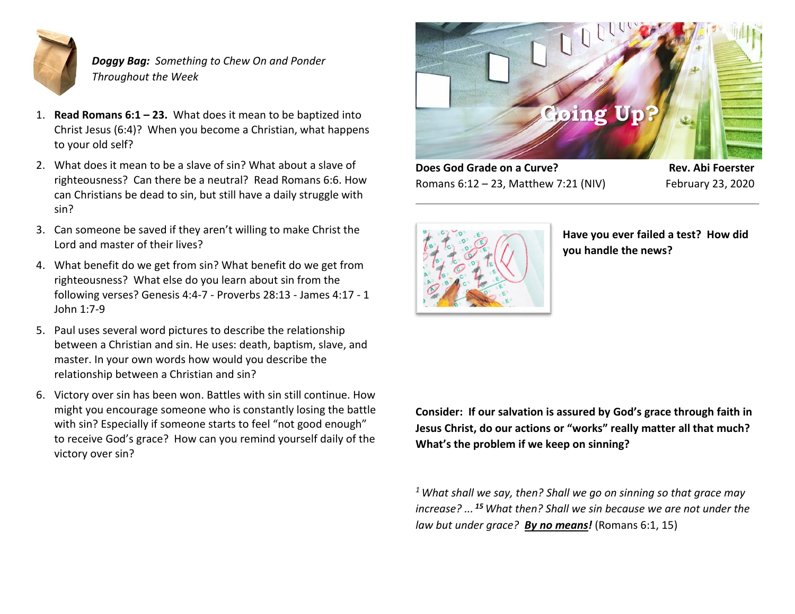

*Doggy Bag: Something to Chew On and Ponder Throughout the Week*

- 1. **Read Romans 6:1 – 23.** What does it mean to be baptized into Christ Jesus (6:4)? When you become a Christian, what happens to your old self?
- 2. What does it mean to be a slave of sin? What about a slave of righteousness? Can there be a neutral? Read Romans 6:6. How can Christians be dead to sin, but still have a daily struggle with sin?
- 3. Can someone be saved if they aren't willing to make Christ the Lord and master of their lives?
- 4. What benefit do we get from sin? What benefit do we get from righteousness? What else do you learn about sin from the following verses? Genesis 4:4-7 - Proverbs 28:13 - James 4:17 - 1 John 1:7-9
- 5. Paul uses several word pictures to describe the relationship between a Christian and sin. He uses: death, baptism, slave, and master. In your own words how would you describe the relationship between a Christian and sin?
- 6. Victory over sin has been won. Battles with sin still continue. How might you encourage someone who is constantly losing the battle with sin? Especially if someone starts to feel "not good enough" to receive God's grace? How can you remind yourself daily of the victory over sin?



**Does God Grade on a Curve? Rev. Abi Foerster** Romans 6:12 – 23, Matthew 7:21 (NIV) February 23, 2020



**Have you ever failed a test? How did you handle the news?**

**Consider: If our salvation is assured by God's grace through faith in Jesus Christ, do our actions or "works" really matter all that much? What's the problem if we keep on sinning?**

*<sup>1</sup>What shall we say, then? Shall we go on sinning so that grace may increase? ... <sup>15</sup> What then? Shall we sin because we are not under the law but under grace? By no means!* (Romans 6:1, 15)